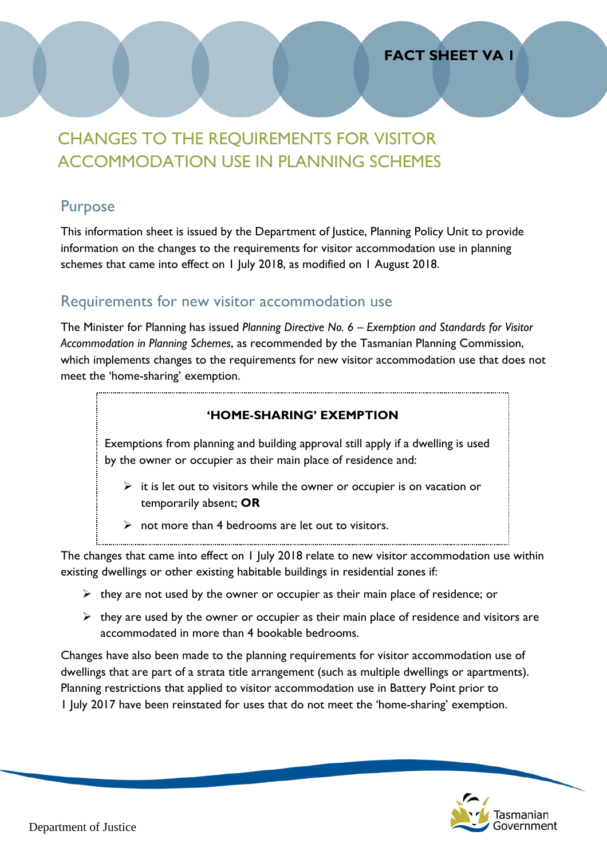### **FACT SHEET VA 1**

# CHANGES TO THE REQUIREMENTS FOR VISITOR ACCOMMODATION USE IN PLANNING SCHEMES

### Purpose

This information sheet is issued by the Department of Justice, Planning Policy Unit to provide information on the changes to the requirements for visitor accommodation use in planning schemes that came into effect on 1 July 2018, as modified on 1 August 2018.

### Requirements for new visitor accommodation use

The Minister for Planning has issued *Planning Directive No. 6 – Exemption and Standards for Visitor Accommodation in Planning Schemes*, as recommended by the Tasmanian Planning Commission, which implements changes to the requirements for new visitor accommodation use that does not meet the 'home-sharing' exemption.

#### **'HOME-SHARING' EXEMPTION**

Exemptions from planning and building approval still apply if a dwelling is used by the owner or occupier as their main place of residence and:

- $\triangleright$  it is let out to visitors while the owner or occupier is on vacation or temporarily absent; **OR**
- $\triangleright$  not more than 4 bedrooms are let out to visitors.

The changes that came into effect on 1 July 2018 relate to new visitor accommodation use within existing dwellings or other existing habitable buildings in residential zones if:

- $\triangleright$  they are not used by the owner or occupier as their main place of residence; or
- $\triangleright$  they are used by the owner or occupier as their main place of residence and visitors are accommodated in more than 4 bookable bedrooms.

Changes have also been made to the planning requirements for visitor accommodation use of dwellings that are part of a strata title arrangement (such as multiple dwellings or apartments). Planning restrictions that applied to visitor accommodation use in Battery Point prior to 1 July 2017 have been reinstated for uses that do not meet the 'home-sharing' exemption.

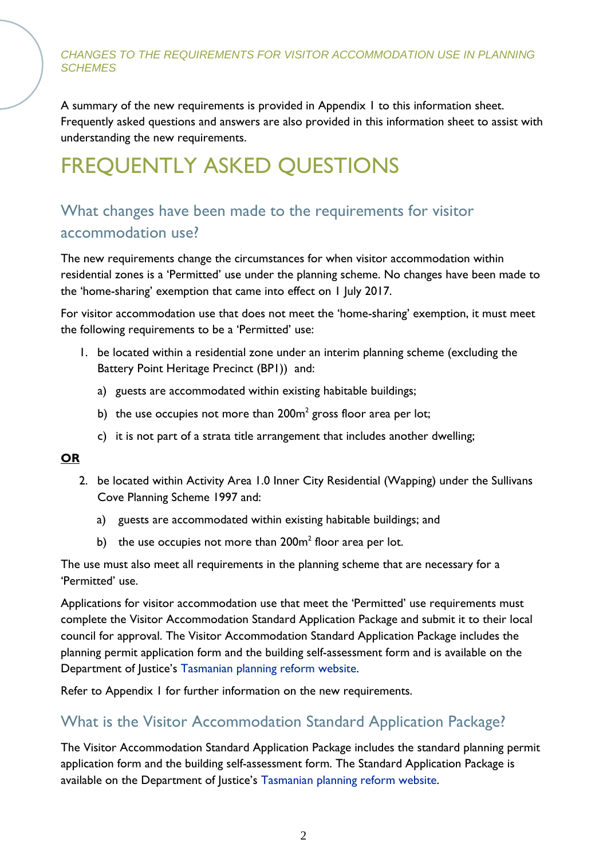A summary of the new requirements is provided in Appendix 1 to this information sheet. Frequently asked questions and answers are also provided in this information sheet to assist with understanding the new requirements.

# FREQUENTLY ASKED QUESTIONS

# What changes have been made to the requirements for visitor accommodation use?

The new requirements change the circumstances for when visitor accommodation within residential zones is a 'Permitted' use under the planning scheme. No changes have been made to the 'home-sharing' exemption that came into effect on 1 July 2017.

For visitor accommodation use that does not meet the 'home-sharing' exemption, it must meet the following requirements to be a 'Permitted' use:

- 1. be located within a residential zone under an interim planning scheme (excluding the Battery Point Heritage Precinct (BP1)) and:
	- a) guests are accommodated within existing habitable buildings;
	- b) the use occupies not more than  $200m^2$  gross floor area per lot;
	- c) it is not part of a strata title arrangement that includes another dwelling;

#### **OR**

- 2. be located within Activity Area 1.0 Inner City Residential (Wapping) under the Sullivans Cove Planning Scheme 1997 and:
	- a) guests are accommodated within existing habitable buildings; and
	- b) the use occupies not more than  $200m^2$  floor area per lot.

The use must also meet all requirements in the planning scheme that are necessary for a 'Permitted' use.

Applications for visitor accommodation use that meet the 'Permitted' use requirements must complete the Visitor Accommodation Standard Application Package and submit it to their local council for approval. The Visitor Accommodation Standard Application Package includes the planning permit application form and the building self-assessment form and is available on the Department of Justice's [Tasmanian planning reform website.](http://www.planningreform.tas.gov.au/home)

Refer to Appendix 1 for further information on the new requirements.

# What is the Visitor Accommodation Standard Application Package?

The Visitor Accommodation Standard Application Package includes the standard planning permit application form and the building self-assessment form. The Standard Application Package is available on the Department of Justice's [Tasmanian planning reform website.](http://www.planningreform.tas.gov.au/home)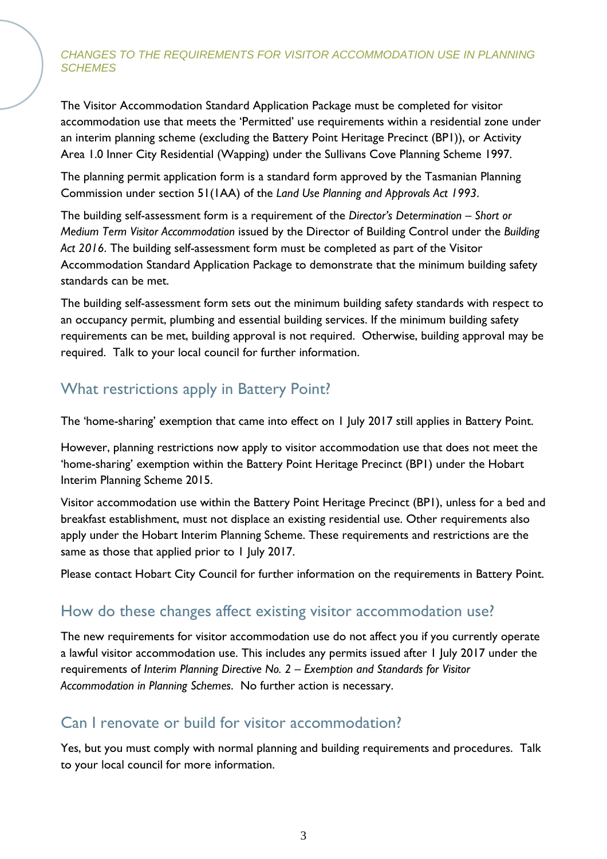The Visitor Accommodation Standard Application Package must be completed for visitor accommodation use that meets the 'Permitted' use requirements within a residential zone under an interim planning scheme (excluding the Battery Point Heritage Precinct (BP1)), or Activity Area 1.0 Inner City Residential (Wapping) under the Sullivans Cove Planning Scheme 1997.

The planning permit application form is a standard form approved by the Tasmanian Planning Commission under section 51(1AA) of the *Land Use Planning and Approvals Act 1993*.

The building self-assessment form is a requirement of the *Director's Determination – Short or Medium Term Visitor Accommodation* issued by the Director of Building Control under the *Building Act 2016*. The building self-assessment form must be completed as part of the Visitor Accommodation Standard Application Package to demonstrate that the minimum building safety standards can be met.

The building self-assessment form sets out the minimum building safety standards with respect to an occupancy permit, plumbing and essential building services. If the minimum building safety requirements can be met, building approval is not required. Otherwise, building approval may be required. Talk to your local council for further information.

# What restrictions apply in Battery Point?

The 'home-sharing' exemption that came into effect on 1 July 2017 still applies in Battery Point.

However, planning restrictions now apply to visitor accommodation use that does not meet the 'home-sharing' exemption within the Battery Point Heritage Precinct (BP1) under the Hobart Interim Planning Scheme 2015.

Visitor accommodation use within the Battery Point Heritage Precinct (BP1), unless for a bed and breakfast establishment, must not displace an existing residential use. Other requirements also apply under the Hobart Interim Planning Scheme. These requirements and restrictions are the same as those that applied prior to 1 July 2017.

Please contact Hobart City Council for further information on the requirements in Battery Point.

## How do these changes affect existing visitor accommodation use?

The new requirements for visitor accommodation use do not affect you if you currently operate a lawful visitor accommodation use. This includes any permits issued after 1 July 2017 under the requirements of *Interim Planning Directive No. 2 – Exemption and Standards for Visitor Accommodation in Planning Schemes*. No further action is necessary.

### Can I renovate or build for visitor accommodation?

Yes, but you must comply with normal planning and building requirements and procedures. Talk to your local council for more information.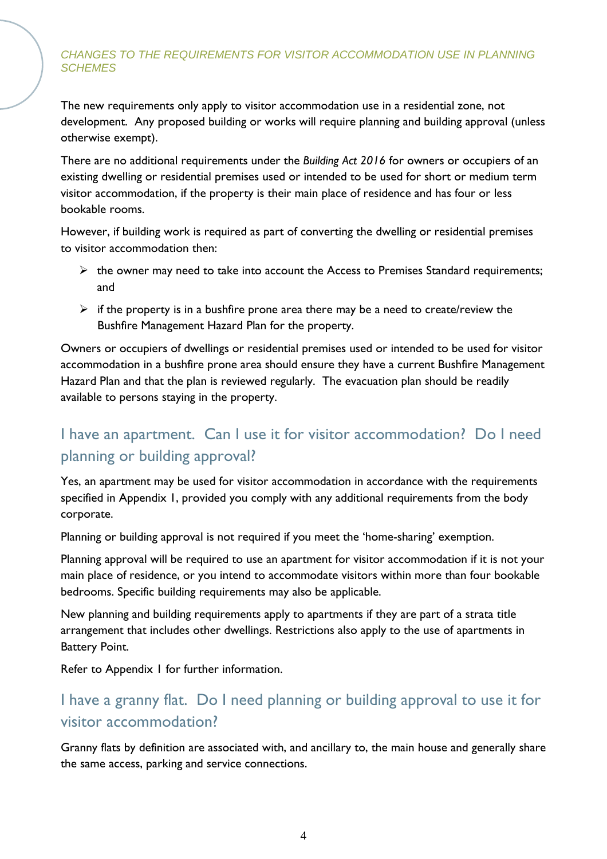The new requirements only apply to visitor accommodation use in a residential zone, not development. Any proposed building or works will require planning and building approval (unless otherwise exempt).

There are no additional requirements under the *Building Act 2016* for owners or occupiers of an existing dwelling or residential premises used or intended to be used for short or medium term visitor accommodation, if the property is their main place of residence and has four or less bookable rooms.

However, if building work is required as part of converting the dwelling or residential premises to visitor accommodation then:

- $\triangleright$  the owner may need to take into account the Access to Premises Standard requirements; and
- $\triangleright$  if the property is in a bushfire prone area there may be a need to create/review the Bushfire Management Hazard Plan for the property.

Owners or occupiers of dwellings or residential premises used or intended to be used for visitor accommodation in a bushfire prone area should ensure they have a current Bushfire Management Hazard Plan and that the plan is reviewed regularly. The evacuation plan should be readily available to persons staying in the property.

# I have an apartment. Can I use it for visitor accommodation? Do I need planning or building approval?

Yes, an apartment may be used for visitor accommodation in accordance with the requirements specified in Appendix 1, provided you comply with any additional requirements from the body corporate.

Planning or building approval is not required if you meet the 'home-sharing' exemption.

Planning approval will be required to use an apartment for visitor accommodation if it is not your main place of residence, or you intend to accommodate visitors within more than four bookable bedrooms. Specific building requirements may also be applicable.

New planning and building requirements apply to apartments if they are part of a strata title arrangement that includes other dwellings. Restrictions also apply to the use of apartments in Battery Point.

Refer to Appendix 1 for further information.

# I have a granny flat. Do I need planning or building approval to use it for visitor accommodation?

Granny flats by definition are associated with, and ancillary to, the main house and generally share the same access, parking and service connections.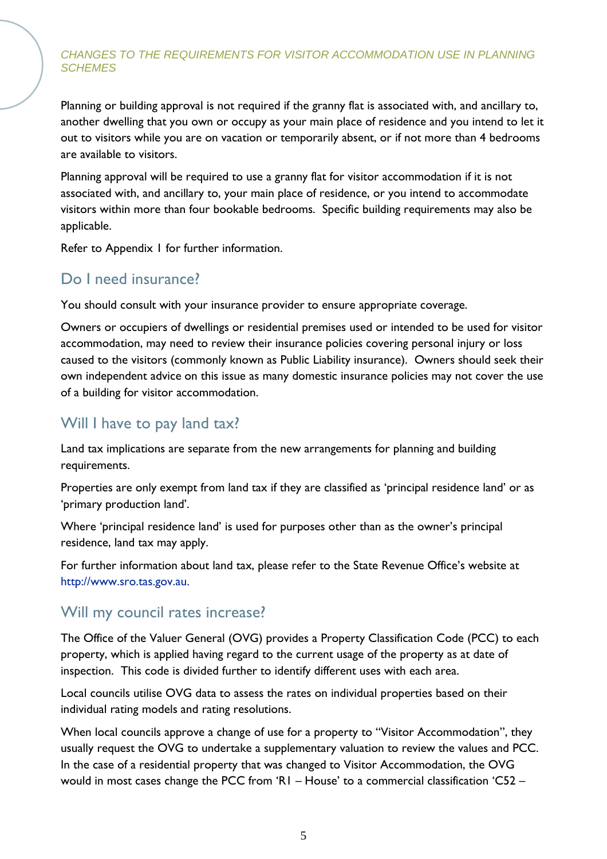Planning or building approval is not required if the granny flat is associated with, and ancillary to, another dwelling that you own or occupy as your main place of residence and you intend to let it out to visitors while you are on vacation or temporarily absent, or if not more than 4 bedrooms are available to visitors.

Planning approval will be required to use a granny flat for visitor accommodation if it is not associated with, and ancillary to, your main place of residence, or you intend to accommodate visitors within more than four bookable bedrooms. Specific building requirements may also be applicable.

Refer to Appendix 1 for further information.

# Do I need insurance?

You should consult with your insurance provider to ensure appropriate coverage.

Owners or occupiers of dwellings or residential premises used or intended to be used for visitor accommodation, may need to review their insurance policies covering personal injury or loss caused to the visitors (commonly known as Public Liability insurance). Owners should seek their own independent advice on this issue as many domestic insurance policies may not cover the use of a building for visitor accommodation.

# Will I have to pay land tax?

Land tax implications are separate from the new arrangements for planning and building requirements.

Properties are only exempt from land tax if they are classified as 'principal residence land' or as 'primary production land'.

Where 'principal residence land' is used for purposes other than as the owner's principal residence, land tax may apply.

For further information about land tax, please refer to the State Revenue Office's website at [http://www.sro.tas.gov.au](http://www.sro.tas.gov.au/).

## Will my council rates increase?

The Office of the Valuer General (OVG) provides a Property Classification Code (PCC) to each property, which is applied having regard to the current usage of the property as at date of inspection. This code is divided further to identify different uses with each area.

Local councils utilise OVG data to assess the rates on individual properties based on their individual rating models and rating resolutions.

When local councils approve a change of use for a property to "Visitor Accommodation", they usually request the OVG to undertake a supplementary valuation to review the values and PCC. In the case of a residential property that was changed to Visitor Accommodation, the OVG would in most cases change the PCC from 'R1 – House' to a commercial classification 'C52 –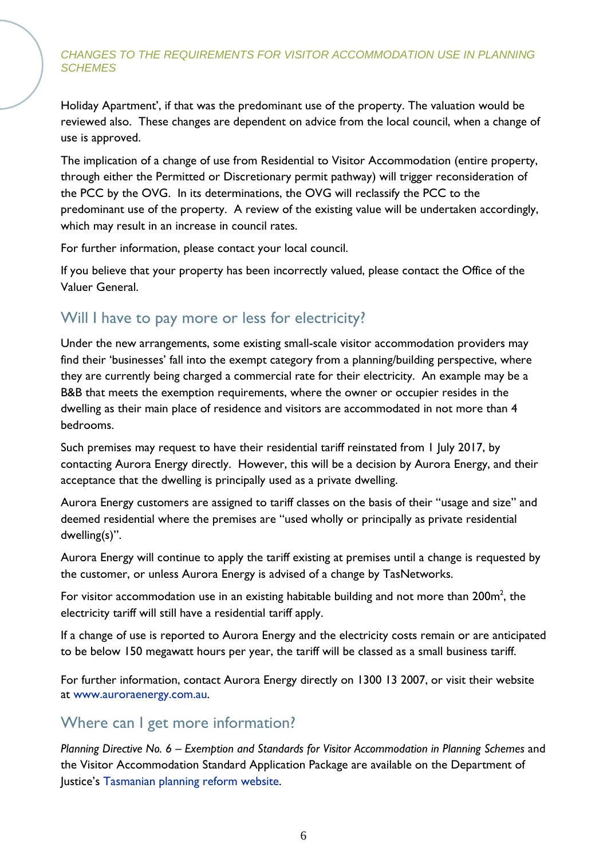Holiday Apartment', if that was the predominant use of the property. The valuation would be reviewed also. These changes are dependent on advice from the local council, when a change of use is approved.

The implication of a change of use from Residential to Visitor Accommodation (entire property, through either the Permitted or Discretionary permit pathway) will trigger reconsideration of the PCC by the OVG. In its determinations, the OVG will reclassify the PCC to the predominant use of the property. A review of the existing value will be undertaken accordingly, which may result in an increase in council rates.

For further information, please contact your local council.

If you believe that your property has been incorrectly valued, please contact the Office of the Valuer General.

# Will I have to pay more or less for electricity?

Under the new arrangements, some existing small-scale visitor accommodation providers may find their 'businesses' fall into the exempt category from a planning/building perspective, where they are currently being charged a commercial rate for their electricity. An example may be a B&B that meets the exemption requirements, where the owner or occupier resides in the dwelling as their main place of residence and visitors are accommodated in not more than 4 bedrooms.

Such premises may request to have their residential tariff reinstated from 1 July 2017, by contacting Aurora Energy directly. However, this will be a decision by Aurora Energy, and their acceptance that the dwelling is principally used as a private dwelling.

Aurora Energy customers are assigned to tariff classes on the basis of their "usage and size" and deemed residential where the premises are "used wholly or principally as private residential dwelling(s)".

Aurora Energy will continue to apply the tariff existing at premises until a change is requested by the customer, or unless Aurora Energy is advised of a change by TasNetworks.

For visitor accommodation use in an existing habitable building and not more than  $200\mathrm{m}^2$ , the electricity tariff will still have a residential tariff apply.

If a change of use is reported to Aurora Energy and the electricity costs remain or are anticipated to be below 150 megawatt hours per year, the tariff will be classed as a small business tariff.

For further information, contact Aurora Energy directly on 1300 13 2007, or visit their website at [www.auroraenergy.com.au.](http://www.auroraenergy.com.au/)

## Where can I get more information?

*Planning Directive No. 6 – Exemption and Standards for Visitor Accommodation in Planning Schemes* and the Visitor Accommodation Standard Application Package are available on the Department of Justice's [Tasmanian planning reform website.](http://www.planningreform.tas.gov.au/home)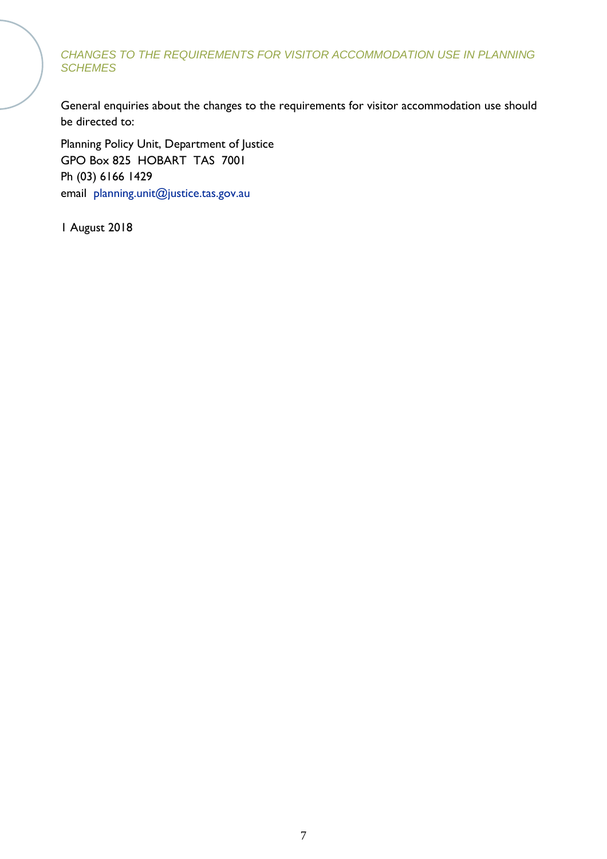General enquiries about the changes to the requirements for visitor accommodation use should be directed to:

Planning Policy Unit, Department of Justice GPO Box 825 HOBART TAS 7001 Ph (03) 6166 1429 email [planning.unit@justice.tas.gov.au](mailto:%20planning.unit@justice.tas.gov.au)

1 August 2018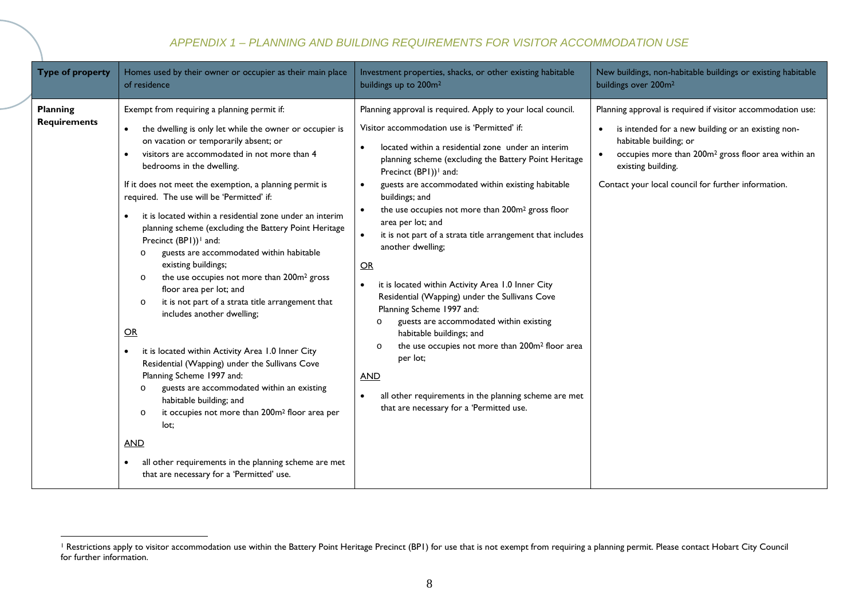#### <span id="page-7-0"></span>*APPENDIX 1 – PLANNING AND BUILDING REQUIREMENTS FOR VISITOR ACCOMMODATION USE*

| Type of property                       | Homes used by their owner or occupier as their main place                                                                                                                                                                                                                                                                                                                                                                                                                                                                                                                                                                                                                                                                                                                                                                                                                                                                                                                                                                                                                                                                                                                                                     | Investment properties, shacks, or other existing habitable                                                                                                                                                                                                                                                                                                                                                                                                                                                                                                                                                                                                                                                                                                                                                                                                                                                                                                       | New buildings, non-habitable buildings or existing habitable                                                                                                                                                                                                                                |
|----------------------------------------|---------------------------------------------------------------------------------------------------------------------------------------------------------------------------------------------------------------------------------------------------------------------------------------------------------------------------------------------------------------------------------------------------------------------------------------------------------------------------------------------------------------------------------------------------------------------------------------------------------------------------------------------------------------------------------------------------------------------------------------------------------------------------------------------------------------------------------------------------------------------------------------------------------------------------------------------------------------------------------------------------------------------------------------------------------------------------------------------------------------------------------------------------------------------------------------------------------------|------------------------------------------------------------------------------------------------------------------------------------------------------------------------------------------------------------------------------------------------------------------------------------------------------------------------------------------------------------------------------------------------------------------------------------------------------------------------------------------------------------------------------------------------------------------------------------------------------------------------------------------------------------------------------------------------------------------------------------------------------------------------------------------------------------------------------------------------------------------------------------------------------------------------------------------------------------------|---------------------------------------------------------------------------------------------------------------------------------------------------------------------------------------------------------------------------------------------------------------------------------------------|
|                                        | of residence                                                                                                                                                                                                                                                                                                                                                                                                                                                                                                                                                                                                                                                                                                                                                                                                                                                                                                                                                                                                                                                                                                                                                                                                  | buildings up to 200m <sup>2</sup>                                                                                                                                                                                                                                                                                                                                                                                                                                                                                                                                                                                                                                                                                                                                                                                                                                                                                                                                | buildings over 200m <sup>2</sup>                                                                                                                                                                                                                                                            |
| <b>Planning</b><br><b>Requirements</b> | Exempt from requiring a planning permit if:<br>the dwelling is only let while the owner or occupier is<br>on vacation or temporarily absent; or<br>visitors are accommodated in not more than 4<br>bedrooms in the dwelling.<br>If it does not meet the exemption, a planning permit is<br>required. The use will be 'Permitted' if:<br>it is located within a residential zone under an interim<br>planning scheme (excluding the Battery Point Heritage<br>Precinct (BPI)) <sup>1</sup> and:<br>guests are accommodated within habitable<br>$\circ$<br>existing buildings;<br>the use occupies not more than 200m <sup>2</sup> gross<br>$\circ$<br>floor area per lot; and<br>it is not part of a strata title arrangement that<br>$\circ$<br>includes another dwelling;<br>OR<br>it is located within Activity Area 1.0 Inner City<br>Residential (Wapping) under the Sullivans Cove<br>Planning Scheme 1997 and:<br>guests are accommodated within an existing<br>$\circ$<br>habitable building; and<br>it occupies not more than 200m <sup>2</sup> floor area per<br>$\circ$<br>lot:<br><u>AND</u><br>all other requirements in the planning scheme are met<br>that are necessary for a 'Permitted' use. | Planning approval is required. Apply to your local council.<br>Visitor accommodation use is 'Permitted' if:<br>located within a residential zone under an interim<br>planning scheme (excluding the Battery Point Heritage<br>Precinct (BPI)) <sup>1</sup> and:<br>guests are accommodated within existing habitable<br>buildings; and<br>the use occupies not more than 200m <sup>2</sup> gross floor<br>area per lot; and<br>it is not part of a strata title arrangement that includes<br>another dwelling;<br>OR<br>it is located within Activity Area 1.0 Inner City<br>Residential (Wapping) under the Sullivans Cove<br>Planning Scheme 1997 and:<br>guests are accommodated within existing<br>$\circ$<br>habitable buildings; and<br>the use occupies not more than 200m <sup>2</sup> floor area<br>$\circ$<br>per lot;<br><b>AND</b><br>all other requirements in the planning scheme are met<br>$\bullet$<br>that are necessary for a 'Permitted use. | Planning approval is required if visitor accommodation use:<br>is intended for a new building or an existing non-<br>habitable building; or<br>occupies more than 200m <sup>2</sup> gross floor area within an<br>existing building.<br>Contact your local council for further information. |

 $\overline{a}$ <sup>1</sup> Restrictions apply to visitor accommodation use within the Battery Point Heritage Precinct (BP1) for use that is not exempt from requiring a planning permit. Please contact Hobart City Council for further information.